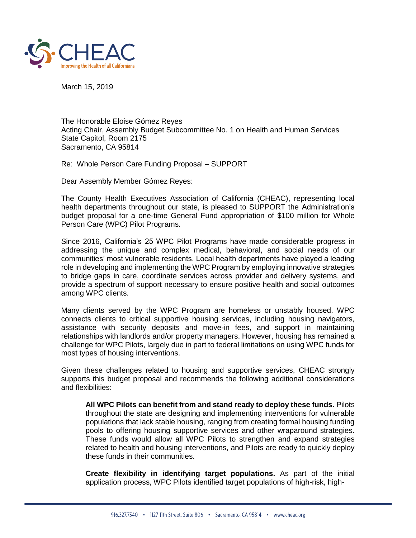

March 15, 2019

The Honorable Eloise Gómez Reyes Acting Chair, Assembly Budget Subcommittee No. 1 on Health and Human Services State Capitol, Room 2175 Sacramento, CA 95814

Re: Whole Person Care Funding Proposal – SUPPORT

Dear Assembly Member Gómez Reyes:

The County Health Executives Association of California (CHEAC), representing local health departments throughout our state, is pleased to SUPPORT the Administration's budget proposal for a one-time General Fund appropriation of \$100 million for Whole Person Care (WPC) Pilot Programs.

Since 2016, California's 25 WPC Pilot Programs have made considerable progress in addressing the unique and complex medical, behavioral, and social needs of our communities' most vulnerable residents. Local health departments have played a leading role in developing and implementing the WPC Program by employing innovative strategies to bridge gaps in care, coordinate services across provider and delivery systems, and provide a spectrum of support necessary to ensure positive health and social outcomes among WPC clients.

Many clients served by the WPC Program are homeless or unstably housed. WPC connects clients to critical supportive housing services, including housing navigators, assistance with security deposits and move-in fees, and support in maintaining relationships with landlords and/or property managers. However, housing has remained a challenge for WPC Pilots, largely due in part to federal limitations on using WPC funds for most types of housing interventions.

Given these challenges related to housing and supportive services, CHEAC strongly supports this budget proposal and recommends the following additional considerations and flexibilities:

**All WPC Pilots can benefit from and stand ready to deploy these funds.** Pilots throughout the state are designing and implementing interventions for vulnerable populations that lack stable housing, ranging from creating formal housing funding pools to offering housing supportive services and other wraparound strategies. These funds would allow all WPC Pilots to strengthen and expand strategies related to health and housing interventions, and Pilots are ready to quickly deploy these funds in their communities.

**Create flexibility in identifying target populations.** As part of the initial application process, WPC Pilots identified target populations of high-risk, high